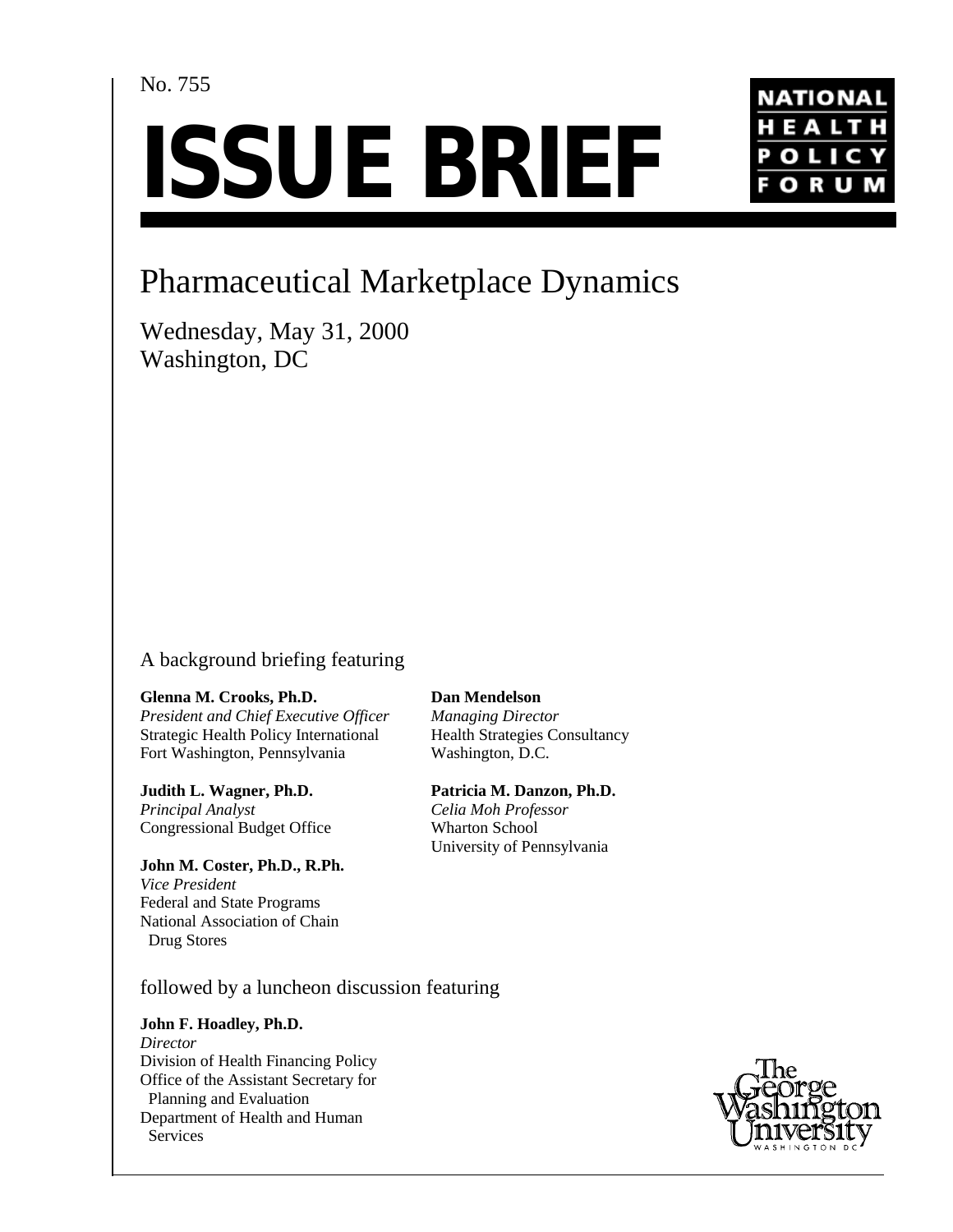#### No. 755

# **ISSUE BRIEF**



## Pharmaceutical Marketplace Dynamics

Wednesday, May 31, 2000 Washington, DC

A background briefing featuring

**Glenna M. Crooks, Ph.D.** *President and Chief Executive Officer* Strategic Health Policy International Fort Washington, Pennsylvania

**Judith L. Wagner, Ph.D.** *Principal Analyst* Congressional Budget Office

**John M. Coster, Ph.D., R.Ph.** *Vice President* Federal and State Programs National Association of Chain Drug Stores

**Dan Mendelson** *Managing Director* Health Strategies Consultancy Washington, D.C.

**Patricia M. Danzon, Ph.D.** *Celia Moh Professor* Wharton School University of Pennsylvania

followed by a luncheon discussion featuring

**John F. Hoadley, Ph.D.**

*Director* Division of Health Financing Policy Office of the Assistant Secretary for Planning and Evaluation Department of Health and Human Services

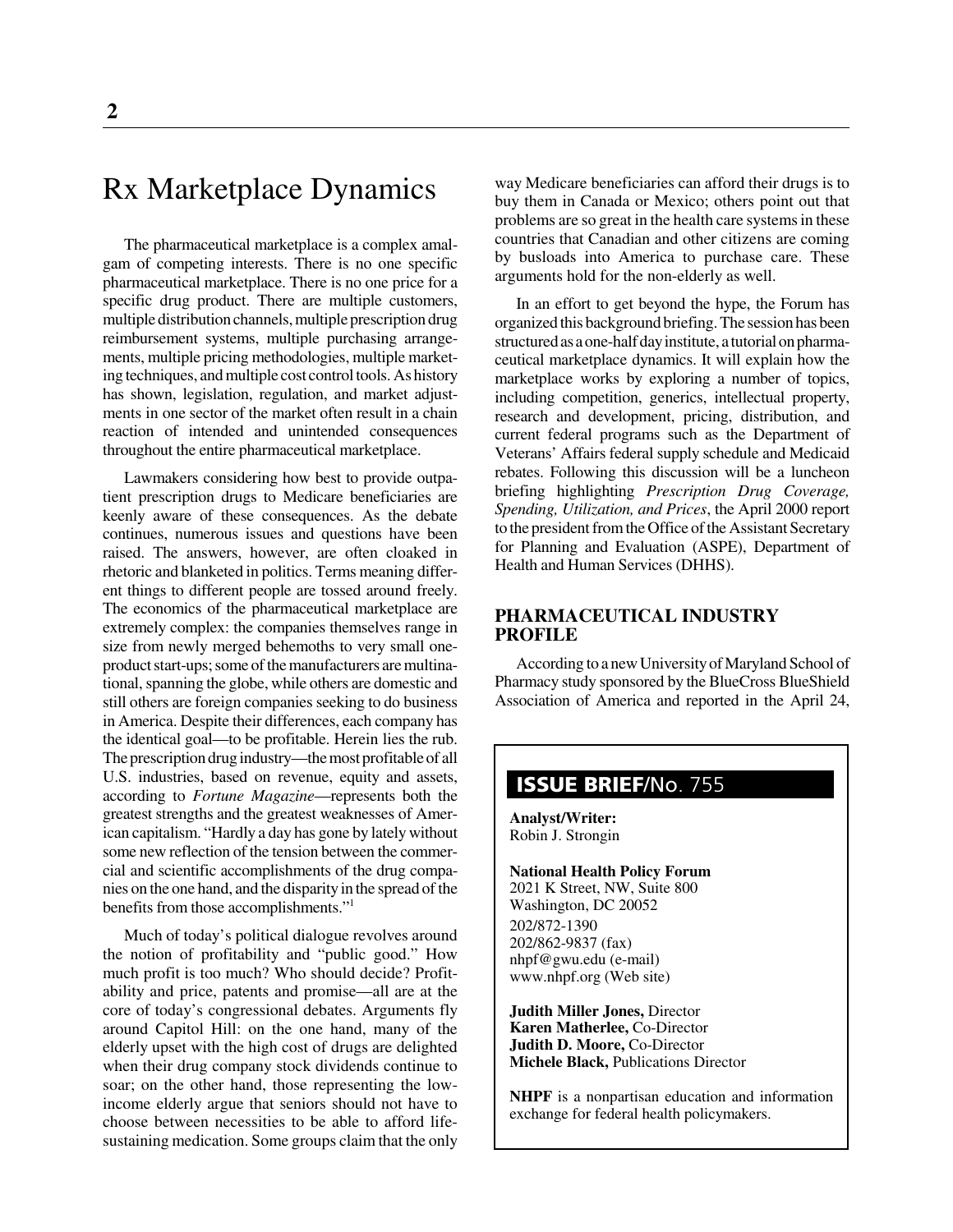## Rx Marketplace Dynamics

The pharmaceutical marketplace is a complex amalgam of competing interests. There is no one specific pharmaceutical marketplace. There is no one price for a specific drug product. There are multiple customers, multiple distribution channels, multiple prescription drug reimbursement systems, multiple purchasing arrangements, multiple pricing methodologies, multiple marketing techniques, and multiple cost control tools. As history has shown, legislation, regulation, and market adjustments in one sector of the market often result in a chain reaction of intended and unintended consequences throughout the entire pharmaceutical marketplace.

Lawmakers considering how best to provide outpatient prescription drugs to Medicare beneficiaries are keenly aware of these consequences. As the debate continues, numerous issues and questions have been raised. The answers, however, are often cloaked in rhetoric and blanketed in politics. Terms meaning different things to different people are tossed around freely. The economics of the pharmaceutical marketplace are extremely complex: the companies themselves range in size from newly merged behemoths to very small oneproduct start-ups; some of the manufacturers are multinational, spanning the globe, while others are domestic and still others are foreign companies seeking to do business in America. Despite their differences, each company has the identical goal—to be profitable. Herein lies the rub. The prescription drug industry—the most profitable of all U.S. industries, based on revenue, equity and assets, according to *Fortune Magazine*—represents both the greatest strengths and the greatest weaknesses of American capitalism. "Hardly a day has gone by lately without some new reflection of the tension between the commercial and scientific accomplishments of the drug companies on the one hand, and the disparity in the spread of the benefits from those accomplishments."1

Much of today's political dialogue revolves around the notion of profitability and "public good." How much profit is too much? Who should decide? Profitability and price, patents and promise—all are at the core of today's congressional debates. Arguments fly around Capitol Hill: on the one hand, many of the elderly upset with the high cost of drugs are delighted when their drug company stock dividends continue to soar; on the other hand, those representing the lowincome elderly argue that seniors should not have to choose between necessities to be able to afford lifesustaining medication. Some groups claim that the only

way Medicare beneficiaries can afford their drugs is to buy them in Canada or Mexico; others point out that problems are so great in the health care systems in these countries that Canadian and other citizens are coming by busloads into America to purchase care. These arguments hold for the non-elderly as well.

In an effort to get beyond the hype, the Forum has organized this background briefing. The session has been structured as a one-half day institute, a tutorial on pharmaceutical marketplace dynamics. It will explain how the marketplace works by exploring a number of topics, including competition, generics, intellectual property, research and development, pricing, distribution, and current federal programs such as the Department of Veterans' Affairs federal supply schedule and Medicaid rebates. Following this discussion will be a luncheon briefing highlighting *Prescription Drug Coverage, Spending, Utilization, and Prices*, the April 2000 report to the president from the Office of the Assistant Secretary for Planning and Evaluation (ASPE), Department of Health and Human Services (DHHS).

#### **PHARMACEUTICAL INDUSTRY PROFILE**

According to a new University of Maryland School of Pharmacy study sponsored by the BlueCross BlueShield Association of America and reported in the April 24,

#### **ISSUE BRIEF**/No. 755

**Analyst/Writer:** Robin J. Strongin

**National Health Policy Forum** 2021 K Street, NW, Suite 800 Washington, DC 20052 202/872-1390 202/862-9837 (fax) nhpf@gwu.edu (e-mail) www.nhpf.org (Web site)

**Judith Miller Jones,** Director **Karen Matherlee,** Co-Director **Judith D. Moore,** Co-Director **Michele Black,** Publications Director

**NHPF** is a nonpartisan education and information exchange for federal health policymakers.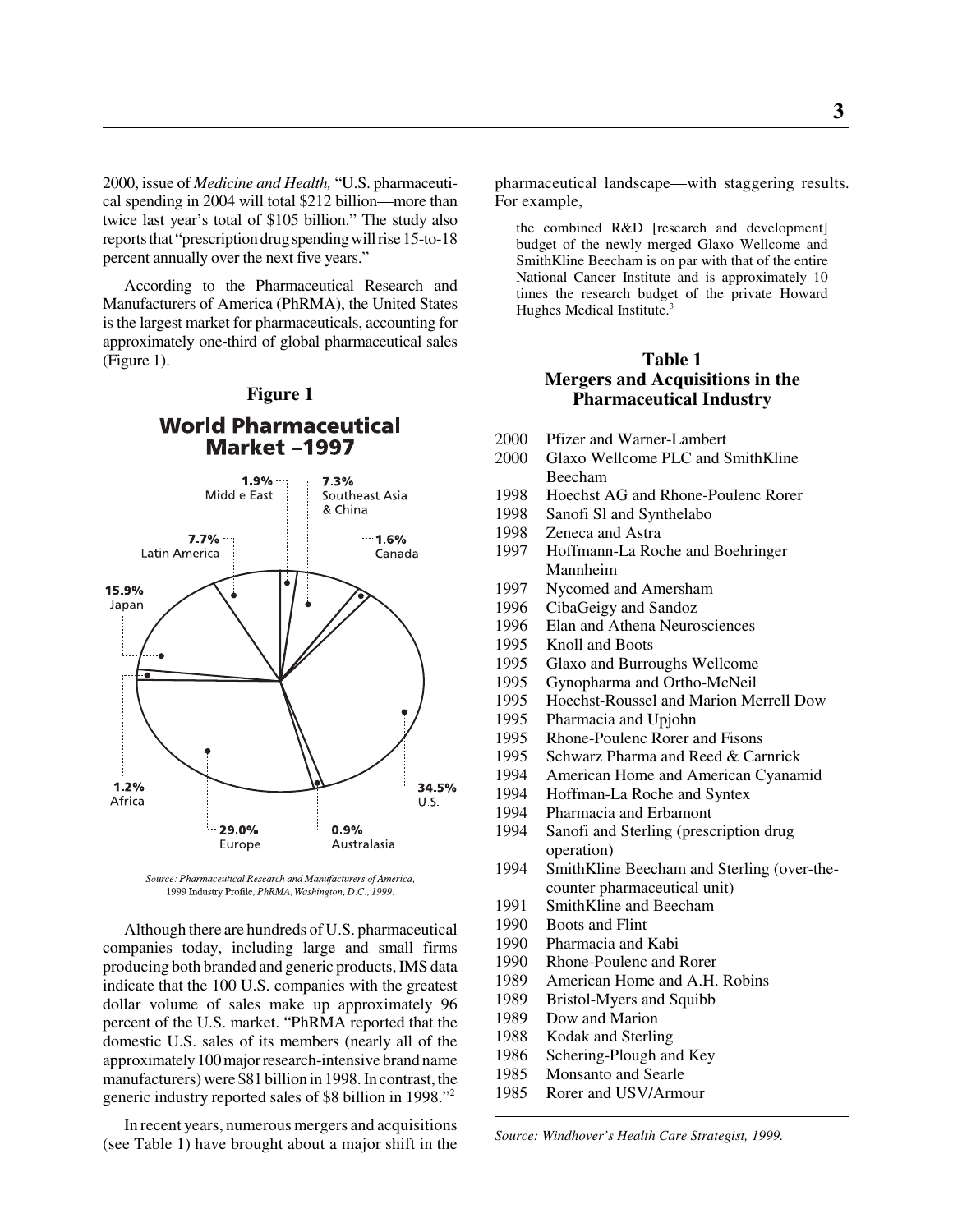2000, issue of *Medicine and Health,* "U.S. pharmaceutical spending in 2004 will total \$212 billion—more than twice last year's total of \$105 billion." The study also reports that "prescription drug spending will rise 15-to-18 percent annually over the next five years."

According to the Pharmaceutical Research and Manufacturers of America (PhRMA), the United States is the largest market for pharmaceuticals, accounting for approximately one-third of global pharmaceutical sales (Figure 1).

#### **Figure 1**





Source: Pharmaceutical Research and Manufacturers of America, 1999 Industry Profile, PhRMA, Washington, D.C., 1999.

Although there are hundreds of U.S. pharmaceutical companies today, including large and small firms producing both branded and generic products, IMS data indicate that the 100 U.S. companies with the greatest dollar volume of sales make up approximately 96 percent of the U.S. market. "PhRMA reported that the domestic U.S. sales of its members (nearly all of the approximately 100 major research-intensive brand name manufacturers) were \$81 billion in 1998. In contrast, the generic industry reported sales of \$8 billion in 1998."2

In recent years, numerous mergers and acquisitions (see Table 1) have brought about a major shift in the pharmaceutical landscape—with staggering results. For example,

the combined R&D [research and development] budget of the newly merged Glaxo Wellcome and SmithKline Beecham is on par with that of the entire National Cancer Institute and is approximately 10 times the research budget of the private Howard Hughes Medical Institute.<sup>3</sup>

#### **Table 1 Mergers and Acquisitions in the Pharmaceutical Industry**

- 2000 Pfizer and Warner-Lambert
- 2000 Glaxo Wellcome PLC and SmithKline Beecham
- 1998 Hoechst AG and Rhone-Poulenc Rorer
- 1998 Sanofi Sl and Synthelabo
- 1998 Zeneca and Astra
- 1997 Hoffmann-La Roche and Boehringer Mannheim
- 1997 Nycomed and Amersham<br>1996 CibaGeigy and Sandoz
- 1996 CibaGeigy and Sandoz<br>1996 Elan and Athena Neuro
- Elan and Athena Neurosciences
- 1995 Knoll and Boots
- 1995 Glaxo and Burroughs Wellcome
- 1995 Gynopharma and Ortho-McNeil
- 1995 Hoechst-Roussel and Marion Merrell Dow
- 1995 Pharmacia and Upjohn<br>1995 Rhone-Poulenc Rorer a
- Rhone-Poulenc Rorer and Fisons
- 1995 Schwarz Pharma and Reed & Carnrick
- 1994 American Home and American Cyanamid
- 1994 Hoffman-La Roche and Syntex
- 1994 Pharmacia and Erbamont<br>1994 Sanofi and Sterling (presc
- Sanofi and Sterling (prescription drug operation)
- 1994 SmithKline Beecham and Sterling (over-thecounter pharmaceutical unit)
- 1991 SmithKline and Beecham
- 1990 Boots and Flint<br>1990 Pharmacia and l
- Pharmacia and Kabi
- 1990 Rhone-Poulenc and Rorer
- 1989 American Home and A.H. Robins
- 1989 Bristol-Myers and Squibb<br>1989 Dow and Marion
- Dow and Marion
- 1988 Kodak and Sterling
- 1986 Schering-Plough and Key
- 1985 Monsanto and Searle
- 1985 Rorer and USV/Armour

*Source: Windhover's Health Care Strategist, 1999.*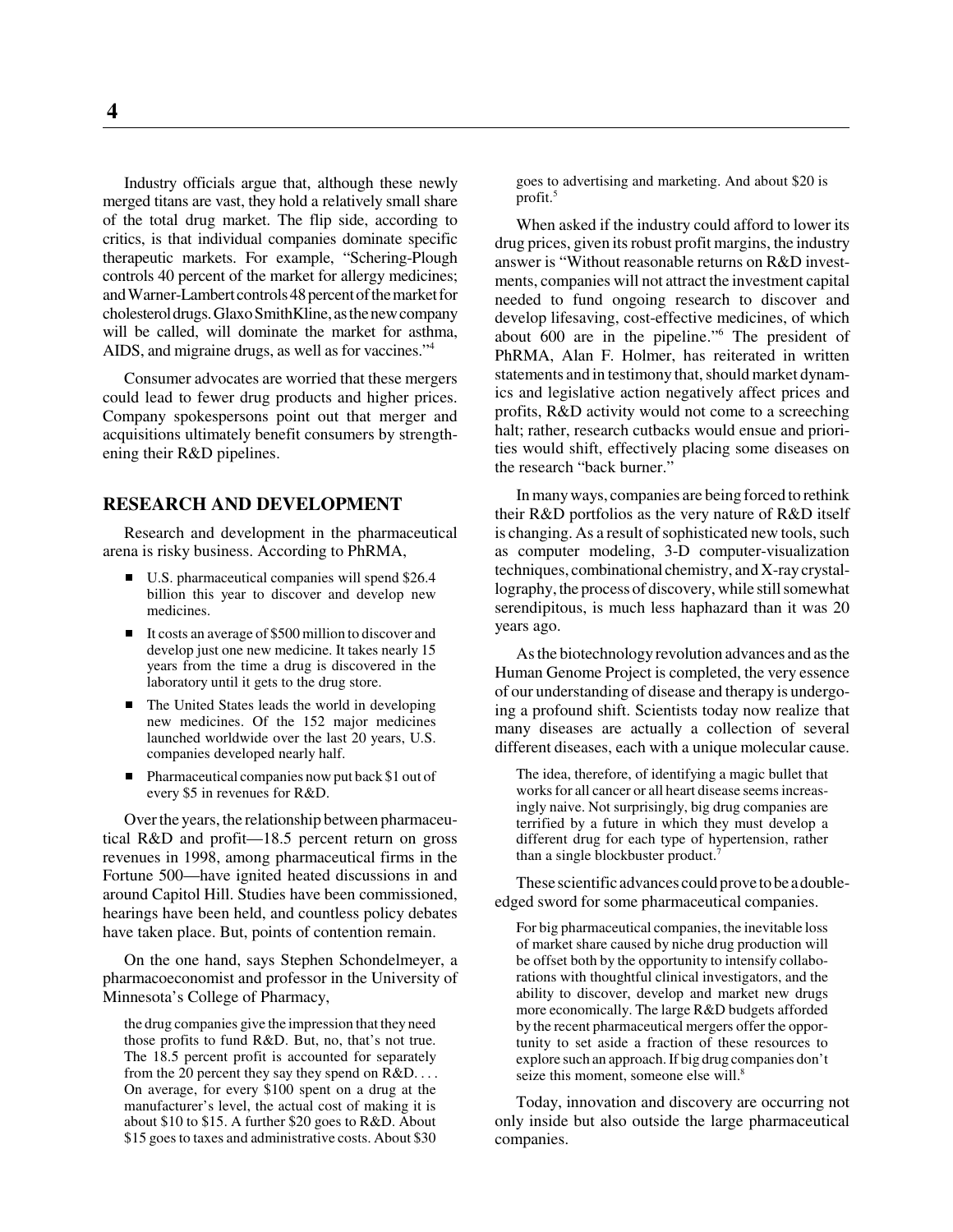Industry officials argue that, although these newly merged titans are vast, they hold a relatively small share of the total drug market. The flip side, according to critics, is that individual companies dominate specific therapeutic markets. For example, "Schering-Plough controls 40 percent of the market for allergy medicines; and Warner-Lambert controls 48 percent of the market for cholesterol drugs. Glaxo SmithKline, as the new company will be called, will dominate the market for asthma, AIDS, and migraine drugs, as well as for vaccines."4

Consumer advocates are worried that these mergers could lead to fewer drug products and higher prices. Company spokespersons point out that merger and acquisitions ultimately benefit consumers by strengthening their R&D pipelines.

#### **RESEARCH AND DEVELOPMENT**

Research and development in the pharmaceutical arena is risky business. According to PhRMA,

- U.S. pharmaceutical companies will spend \$26.4 billion this year to discover and develop new medicines.
- $\overline{a}$  It costs an average of \$500 million to discover and develop just one new medicine. It takes nearly 15 years from the time a drug is discovered in the laboratory until it gets to the drug store.
- The United States leads the world in developing new medicines. Of the 152 major medicines launched worldwide over the last 20 years, U.S. companies developed nearly half.
- $\overline{a}$  Pharmaceutical companies now put back \$1 out of every \$5 in revenues for R&D.

Over the years, the relationship between pharmaceutical R&D and profit—18.5 percent return on gross revenues in 1998, among pharmaceutical firms in the Fortune 500—have ignited heated discussions in and around Capitol Hill. Studies have been commissioned, hearings have been held, and countless policy debates have taken place. But, points of contention remain.

On the one hand, says Stephen Schondelmeyer, a pharmacoeconomist and professor in the University of Minnesota's College of Pharmacy,

the drug companies give the impression that they need those profits to fund R&D. But, no, that's not true. The 18.5 percent profit is accounted for separately from the 20 percent they say they spend on R&D. . . . On average, for every \$100 spent on a drug at the manufacturer's level, the actual cost of making it is about \$10 to \$15. A further \$20 goes to R&D. About \$15 goes to taxes and administrative costs. About \$30

goes to advertising and marketing. And about \$20 is profit.<sup>5</sup>

When asked if the industry could afford to lower its drug prices, given its robust profit margins, the industry answer is "Without reasonable returns on R&D investments, companies will not attract the investment capital needed to fund ongoing research to discover and develop lifesaving, cost-effective medicines, of which about 600 are in the pipeline."6 The president of PhRMA, Alan F. Holmer, has reiterated in written statements and in testimony that, should market dynamics and legislative action negatively affect prices and profits, R&D activity would not come to a screeching halt; rather, research cutbacks would ensue and priorities would shift, effectively placing some diseases on the research "back burner."

In many ways, companies are being forced to rethink their R&D portfolios as the very nature of R&D itself is changing. As a result of sophisticated new tools, such as computer modeling, 3-D computer-visualization techniques, combinational chemistry, and X-ray crystallography, the process of discovery, while still somewhat serendipitous, is much less haphazard than it was 20 years ago.

As the biotechnology revolution advances and as the Human Genome Project is completed, the very essence of our understanding of disease and therapy is undergoing a profound shift. Scientists today now realize that many diseases are actually a collection of several different diseases, each with a unique molecular cause.

The idea, therefore, of identifying a magic bullet that works for all cancer or all heart disease seems increasingly naive. Not surprisingly, big drug companies are terrified by a future in which they must develop a different drug for each type of hypertension, rather than a single blockbuster product.<sup>7</sup>

These scientific advances could prove to be a doubleedged sword for some pharmaceutical companies.

For big pharmaceutical companies, the inevitable loss of market share caused by niche drug production will be offset both by the opportunity to intensify collaborations with thoughtful clinical investigators, and the ability to discover, develop and market new drugs more economically. The large R&D budgets afforded by the recent pharmaceutical mergers offer the opportunity to set aside a fraction of these resources to explore such an approach. If big drug companies don't seize this moment, someone else will.<sup>8</sup>

Today, innovation and discovery are occurring not only inside but also outside the large pharmaceutical companies.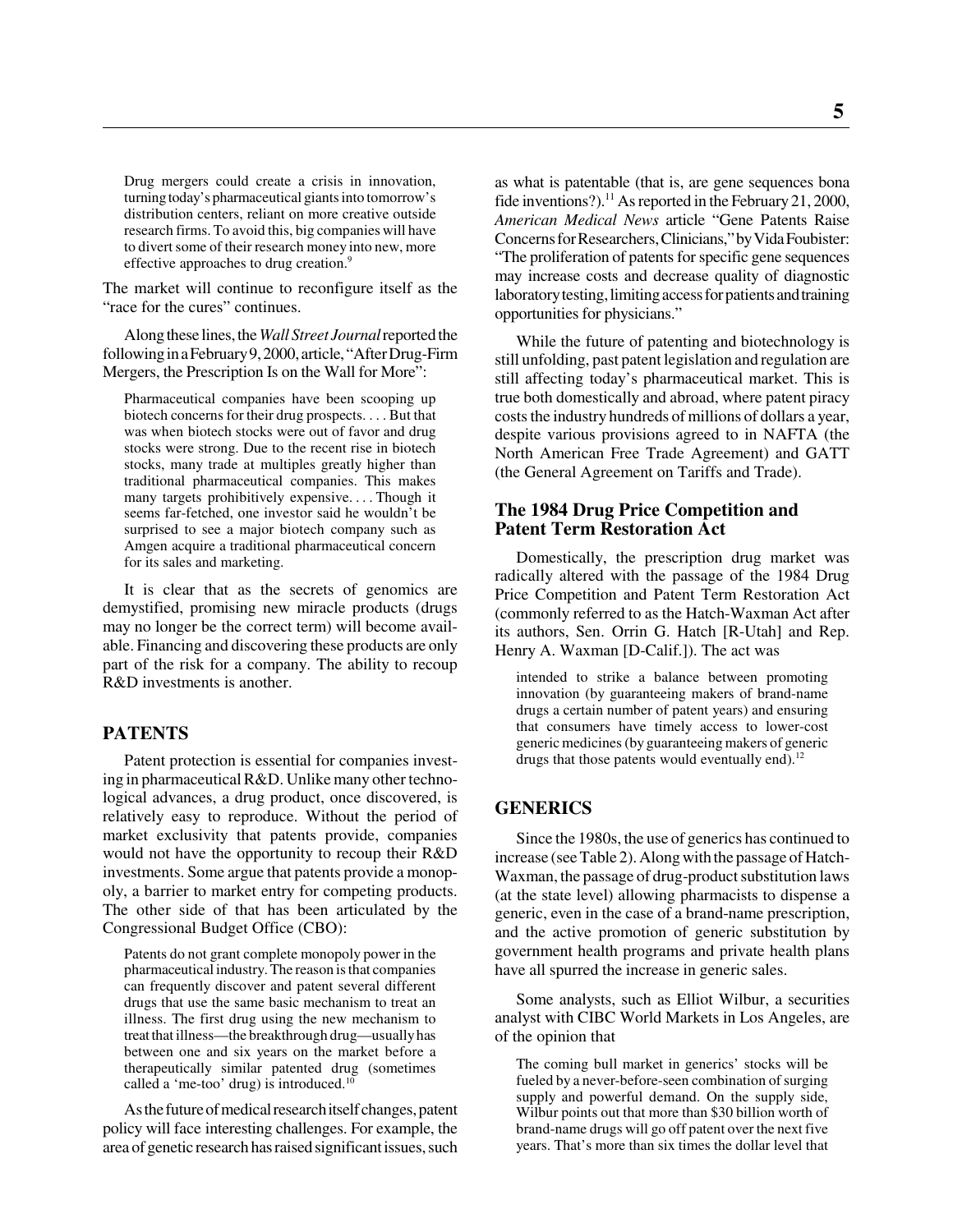Drug mergers could create a crisis in innovation, turning today's pharmaceutical giants into tomorrow's distribution centers, reliant on more creative outside research firms. To avoid this, big companies will have to divert some of their research money into new, more effective approaches to drug creation.<sup>9</sup>

The market will continue to reconfigure itself as the "race for the cures" continues.

Along these lines, the *Wall Street Journal* reported the following in a February 9, 2000, article, "After Drug-Firm Mergers, the Prescription Is on the Wall for More":

Pharmaceutical companies have been scooping up biotech concerns for their drug prospects. . . . But that was when biotech stocks were out of favor and drug stocks were strong. Due to the recent rise in biotech stocks, many trade at multiples greatly higher than traditional pharmaceutical companies. This makes many targets prohibitively expensive. ...Though it seems far-fetched, one investor said he wouldn't be surprised to see a major biotech company such as Amgen acquire a traditional pharmaceutical concern for its sales and marketing.

It is clear that as the secrets of genomics are demystified, promising new miracle products (drugs may no longer be the correct term) will become available. Financing and discovering these products are only part of the risk for a company. The ability to recoup R&D investments is another.

#### **PATENTS**

Patent protection is essential for companies investing in pharmaceutical R&D. Unlike many other technological advances, a drug product, once discovered, is relatively easy to reproduce. Without the period of market exclusivity that patents provide, companies would not have the opportunity to recoup their R&D investments. Some argue that patents provide a monopoly, a barrier to market entry for competing products. The other side of that has been articulated by the Congressional Budget Office (CBO):

Patents do not grant complete monopoly power in the pharmaceutical industry. The reason is that companies can frequently discover and patent several different drugs that use the same basic mechanism to treat an illness. The first drug using the new mechanism to treat that illness—the breakthrough drug—usually has between one and six years on the market before a therapeutically similar patented drug (sometimes called a 'me-too' drug) is introduced.<sup>10</sup>

As the future of medical research itself changes, patent policy will face interesting challenges. For example, the area of genetic research has raised significant issues, such

as what is patentable (that is, are gene sequences bona fide inventions?).<sup>11</sup> As reported in the February 21, 2000, *American Medical News* article "Gene Patents Raise Concerns for Researchers, Clinicians," by Vida Foubister: "The proliferation of patents for specific gene sequences may increase costs and decrease quality of diagnostic laboratory testing, limiting access for patients and training opportunities for physicians."

While the future of patenting and biotechnology is still unfolding, past patent legislation and regulation are still affecting today's pharmaceutical market. This is true both domestically and abroad, where patent piracy costs the industry hundreds of millions of dollars a year, despite various provisions agreed to in NAFTA (the North American Free Trade Agreement) and GATT (the General Agreement on Tariffs and Trade).

#### **The 1984 Drug Price Competition and Patent Term Restoration Act**

Domestically, the prescription drug market was radically altered with the passage of the 1984 Drug Price Competition and Patent Term Restoration Act (commonly referred to as the Hatch-Waxman Act after its authors, Sen. Orrin G. Hatch [R-Utah] and Rep. Henry A. Waxman [D-Calif.]). The act was

intended to strike a balance between promoting innovation (by guaranteeing makers of brand-name drugs a certain number of patent years) and ensuring that consumers have timely access to lower-cost generic medicines (by guaranteeing makers of generic drugs that those patents would eventually end). $^{12}$ 

#### **GENERICS**

Since the 1980s, the use of generics has continued to increase (see Table 2). Along with the passage of Hatch-Waxman, the passage of drug-product substitution laws (at the state level) allowing pharmacists to dispense a generic, even in the case of a brand-name prescription, and the active promotion of generic substitution by government health programs and private health plans have all spurred the increase in generic sales.

Some analysts, such as Elliot Wilbur, a securities analyst with CIBC World Markets in Los Angeles, are of the opinion that

The coming bull market in generics' stocks will be fueled by a never-before-seen combination of surging supply and powerful demand. On the supply side, Wilbur points out that more than \$30 billion worth of brand-name drugs will go off patent over the next five years. That's more than six times the dollar level that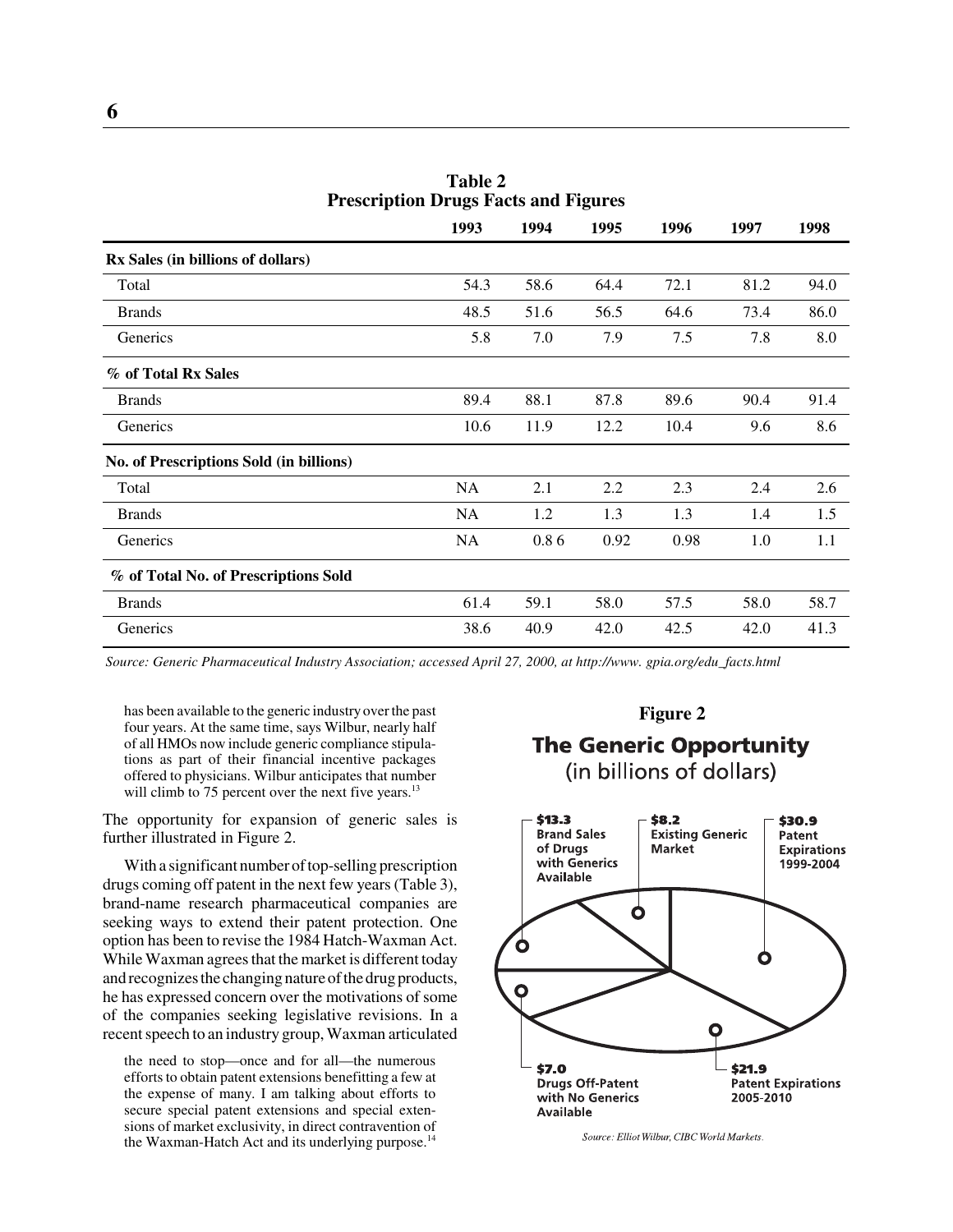| 1993      | 1994 | 1995 | 1996 | 1997 | 1998 |
|-----------|------|------|------|------|------|
|           |      |      |      |      |      |
| 54.3      | 58.6 | 64.4 | 72.1 | 81.2 | 94.0 |
| 48.5      | 51.6 | 56.5 | 64.6 | 73.4 | 86.0 |
| 5.8       | 7.0  | 7.9  | 7.5  | 7.8  | 8.0  |
|           |      |      |      |      |      |
| 89.4      | 88.1 | 87.8 | 89.6 | 90.4 | 91.4 |
| 10.6      | 11.9 | 12.2 | 10.4 | 9.6  | 8.6  |
|           |      |      |      |      |      |
| <b>NA</b> | 2.1  | 2.2  | 2.3  | 2.4  | 2.6  |
| NA        | 1.2  | 1.3  | 1.3  | 1.4  | 1.5  |
| NA        | 0.86 | 0.92 | 0.98 | 1.0  | 1.1  |
|           |      |      |      |      |      |
| 61.4      | 59.1 | 58.0 | 57.5 | 58.0 | 58.7 |
| 38.6      | 40.9 | 42.0 | 42.5 | 42.0 | 41.3 |
|           |      |      |      |      |      |

**Table 2 Prescription Drugs Facts and Figures**

*Source: Generic Pharmaceutical Industry Association; accessed April 27, 2000, at http://www. gpia.org/edu\_facts.html*

has been available to the generic industry over the past four years. At the same time, says Wilbur, nearly half of all HMOs now include generic compliance stipulations as part of their financial incentive packages offered to physicians. Wilbur anticipates that number will climb to  $75$  percent over the next five years.<sup>13</sup>

The opportunity for expansion of generic sales is further illustrated in Figure 2.

With a significant number of top-selling prescription drugs coming off patent in the next few years (Table 3), brand-name research pharmaceutical companies are seeking ways to extend their patent protection. One option has been to revise the 1984 Hatch-Waxman Act. While Waxman agrees that the market is different today and recognizes the changing nature of the drug products, he has expressed concern over the motivations of some of the companies seeking legislative revisions. In a recent speech to an industry group, Waxman articulated

the need to stop—once and for all—the numerous efforts to obtain patent extensions benefitting a few at the expense of many. I am talking about efforts to secure special patent extensions and special extensions of market exclusivity, in direct contravention of the Waxman-Hatch Act and its underlying purpose.<sup>14</sup>

## **Figure 2The Generic Opportunity** (in billions of dollars)



Source: Elliot Wilbur, CIBC World Markets.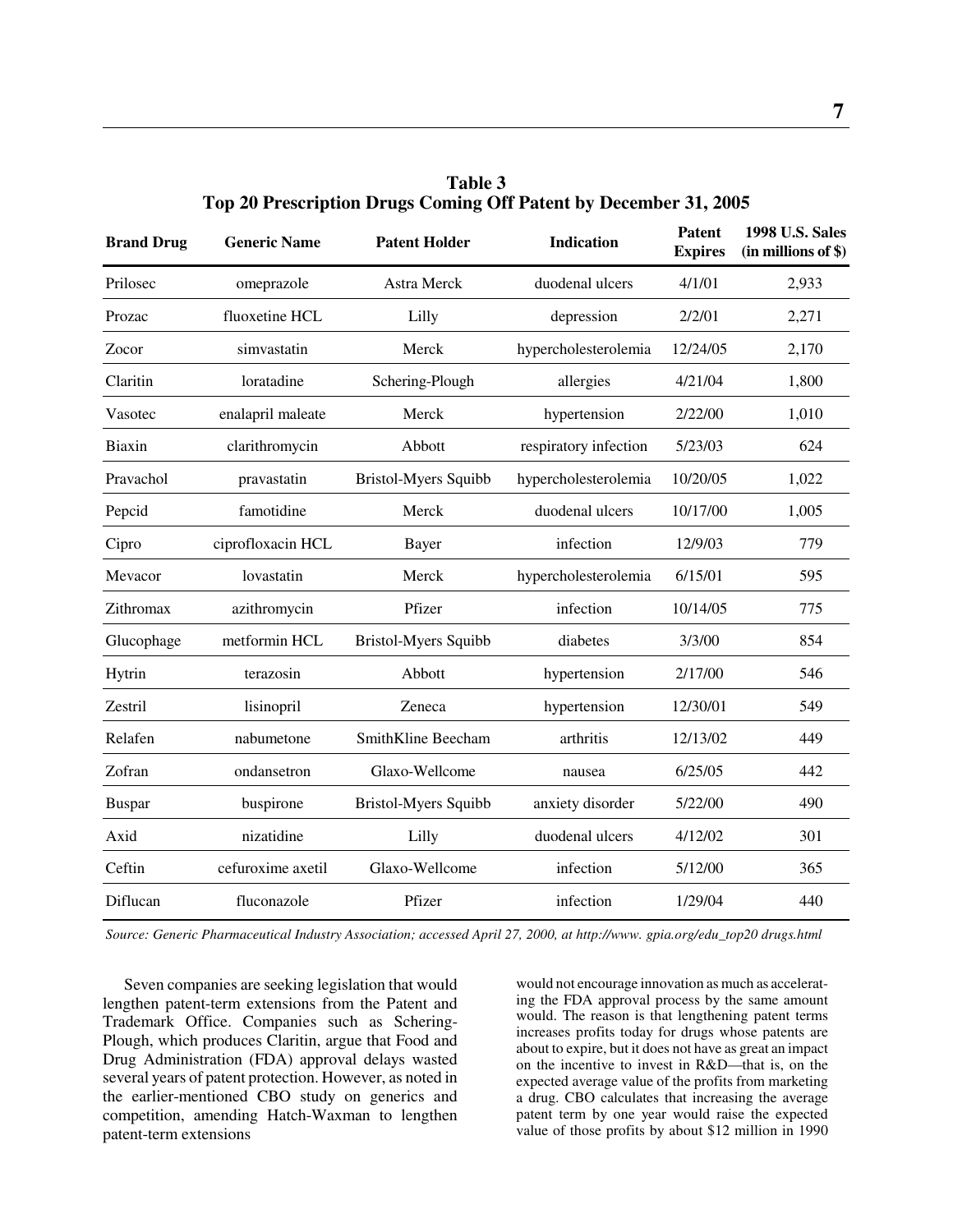| <b>Brand Drug</b> | <b>Generic Name</b> | <b>Patent Holder</b>        | <b>Indication</b>     | <b>Patent</b><br><b>Expires</b> | <b>1998 U.S. Sales</b><br>(in millions of \$) |
|-------------------|---------------------|-----------------------------|-----------------------|---------------------------------|-----------------------------------------------|
| Prilosec          | omeprazole          | Astra Merck                 | duodenal ulcers       | 4/1/01                          | 2,933                                         |
| Prozac            | fluoxetine HCL      | Lilly                       | depression            | 2/2/01                          | 2,271                                         |
| Zocor             | simvastatin         | Merck                       | hypercholesterolemia  | 12/24/05                        | 2,170                                         |
| Claritin          | loratadine          | Schering-Plough             | allergies             | 4/21/04                         | 1,800                                         |
| Vasotec           | enalapril maleate   | Merck                       | hypertension          | 2/22/00                         | 1,010                                         |
| Biaxin            | clarithromycin      | Abbott                      | respiratory infection | 5/23/03                         | 624                                           |
| Pravachol         | pravastatin         | <b>Bristol-Myers Squibb</b> | hypercholesterolemia  | 10/20/05                        | 1,022                                         |
| Pepcid            | famotidine          | Merck                       | duodenal ulcers       | 10/17/00                        | 1,005                                         |
| Cipro             | ciprofloxacin HCL   | Bayer                       | infection             | 12/9/03                         | 779                                           |
| Mevacor           | lovastatin          | Merck                       | hypercholesterolemia  | 6/15/01                         | 595                                           |
| Zithromax         | azithromycin        | Pfizer                      | infection             | 10/14/05                        | 775                                           |
| Glucophage        | metformin HCL       | <b>Bristol-Myers Squibb</b> | diabetes              | 3/3/00                          | 854                                           |
| Hytrin            | terazosin           | Abbott                      | hypertension          | 2/17/00                         | 546                                           |
| Zestril           | lisinopril          | Zeneca                      | hypertension          | 12/30/01                        | 549                                           |
| Relafen           | nabumetone          | SmithKline Beecham          | arthritis             | 12/13/02                        | 449                                           |
| Zofran            | ondansetron         | Glaxo-Wellcome              | nausea                | 6/25/05                         | 442                                           |
| <b>Buspar</b>     | buspirone           | <b>Bristol-Myers Squibb</b> | anxiety disorder      | 5/22/00                         | 490                                           |
| Axid              | nizatidine          | Lilly                       | duodenal ulcers       | 4/12/02                         | 301                                           |
| Ceftin            | cefuroxime axetil   | Glaxo-Wellcome              | infection             | 5/12/00                         | 365                                           |
| Diflucan          | fluconazole         | Pfizer                      | infection             | 1/29/04                         | 440                                           |

**Table 3 Top 20 Prescription Drugs Coming Off Patent by December 31, 2005**

*Source: Generic Pharmaceutical Industry Association; accessed April 27, 2000, at http://www. gpia.org/edu\_top20 drugs.html*

Seven companies are seeking legislation that would lengthen patent-term extensions from the Patent and Trademark Office. Companies such as Schering-Plough, which produces Claritin, argue that Food and Drug Administration (FDA) approval delays wasted several years of patent protection. However, as noted in the earlier-mentioned CBO study on generics and competition, amending Hatch-Waxman to lengthen patent-term extensions

would not encourage innovation as much as accelerating the FDA approval process by the same amount would. The reason is that lengthening patent terms increases profits today for drugs whose patents are about to expire, but it does not have as great an impact on the incentive to invest in R&D—that is, on the expected average value of the profits from marketing a drug. CBO calculates that increasing the average patent term by one year would raise the expected value of those profits by about \$12 million in 1990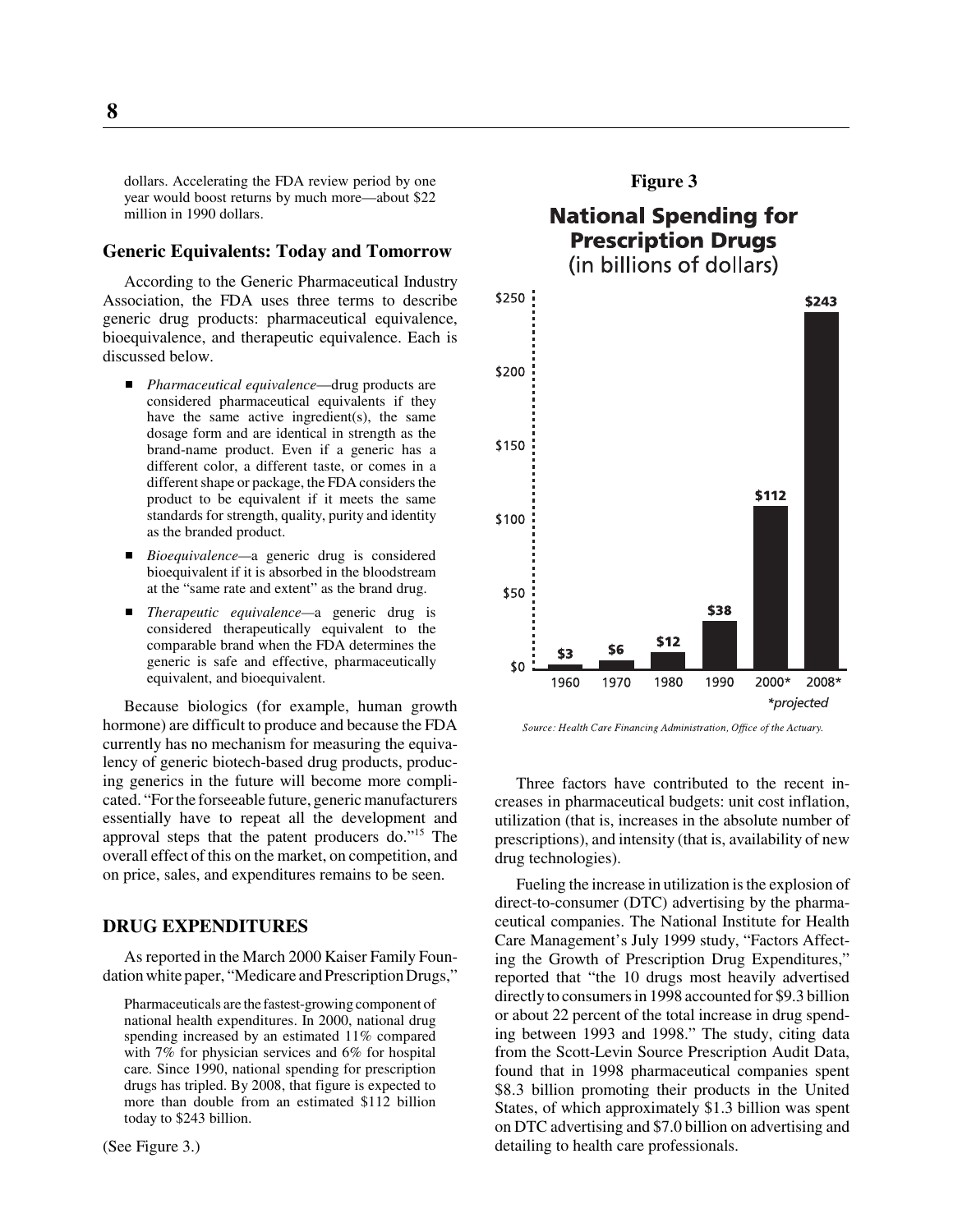dollars. Accelerating the FDA review period by one year would boost returns by much more—about \$22 million in 1990 dollars.

#### **Generic Equivalents: Today and Tomorrow**

According to the Generic Pharmaceutical Industry Association, the FDA uses three terms to describe generic drug products: pharmaceutical equivalence, bioequivalence, and therapeutic equivalence. Each is discussed below.

- *Pharmaceutical equivalence*—drug products are considered pharmaceutical equivalents if they have the same active ingredient(s), the same dosage form and are identical in strength as the brand-name product. Even if a generic has a different color, a different taste, or comes in a different shape or package, the FDA considers the product to be equivalent if it meets the same standards for strength, quality, purity and identity as the branded product.
- $\blacksquare$  *Bioequivalence—*a generic drug is considered bioequivalent if it is absorbed in the bloodstream at the "same rate and extent" as the brand drug.
- $\overline{a}$  *Therapeutic equivalence—*a generic drug is considered therapeutically equivalent to the comparable brand when the FDA determines the generic is safe and effective, pharmaceutically equivalent, and bioequivalent.

Because biologics (for example, human growth hormone) are difficult to produce and because the FDA currently has no mechanism for measuring the equivalency of generic biotech-based drug products, producing generics in the future will become more complicated. "For the forseeable future, generic manufacturers essentially have to repeat all the development and approval steps that the patent producers do."15 The overall effect of this on the market, on competition, and on price, sales, and expenditures remains to be seen.

#### **DRUG EXPENDITURES**

As reported in the March 2000 Kaiser Family Foundation white paper, "Medicare and Prescription Drugs,"

Pharmaceuticals are the fastest-growing component of national health expenditures. In 2000, national drug spending increased by an estimated 11% compared with 7% for physician services and 6% for hospital care. Since 1990, national spending for prescription drugs has tripled. By 2008, that figure is expected to more than double from an estimated \$112 billion today to \$243 billion.

(See Figure 3.)

#### **Figure 3**

#### **National Spending for Prescription Drugs** (in billions of dollars)



Source: Health Care Financing Administration, Office of the Actuary.

Three factors have contributed to the recent increases in pharmaceutical budgets: unit cost inflation, utilization (that is, increases in the absolute number of prescriptions), and intensity (that is, availability of new drug technologies).

Fueling the increase in utilization is the explosion of direct-to-consumer (DTC) advertising by the pharmaceutical companies. The National Institute for Health Care Management's July 1999 study, "Factors Affecting the Growth of Prescription Drug Expenditures," reported that "the 10 drugs most heavily advertised directly to consumers in 1998 accounted for \$9.3 billion or about 22 percent of the total increase in drug spending between 1993 and 1998." The study, citing data from the Scott-Levin Source Prescription Audit Data, found that in 1998 pharmaceutical companies spent \$8.3 billion promoting their products in the United States, of which approximately \$1.3 billion was spent on DTC advertising and \$7.0 billion on advertising and detailing to health care professionals.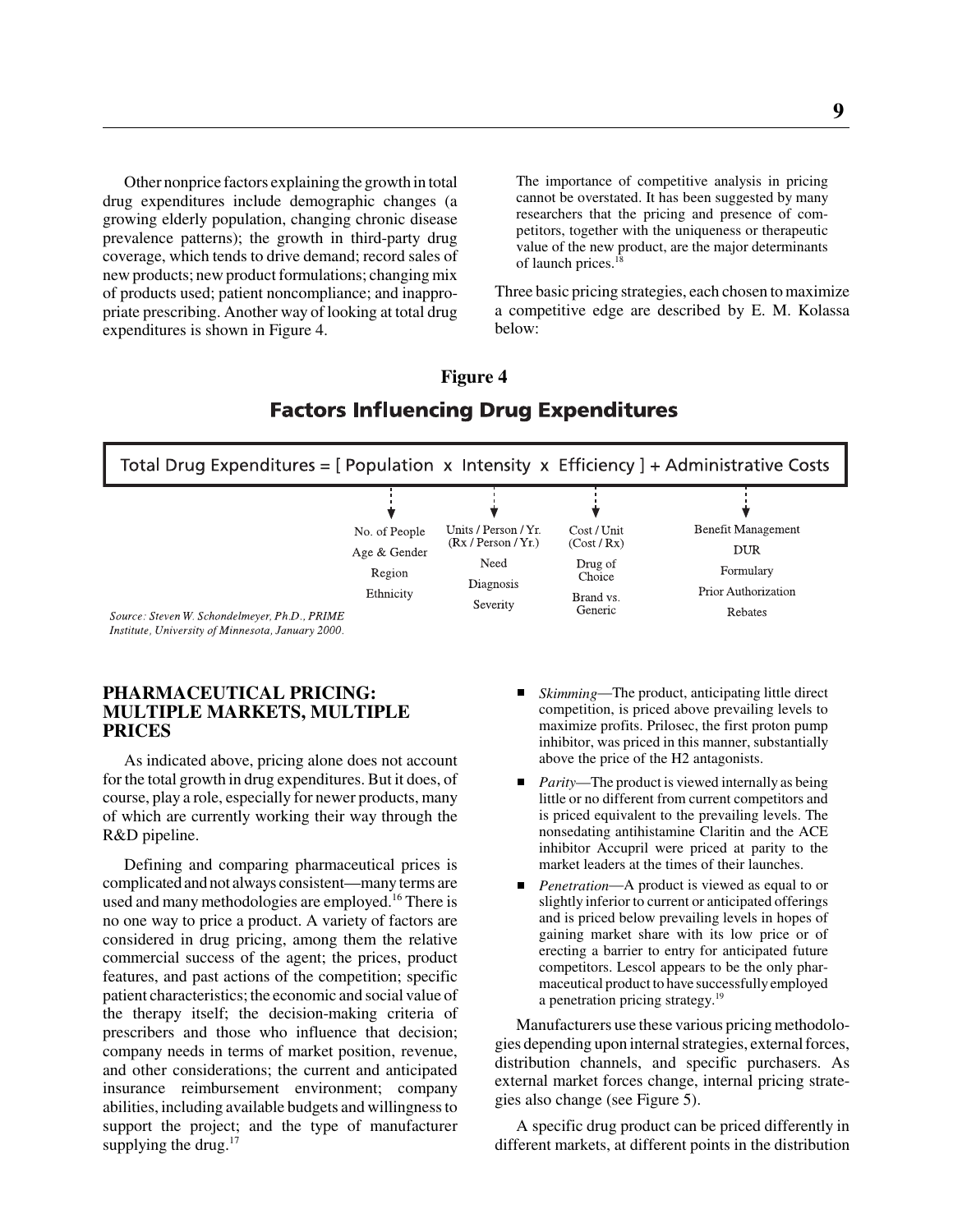Other nonprice factors explaining the growth in total drug expenditures include demographic changes (a growing elderly population, changing chronic disease prevalence patterns); the growth in third-party drug coverage, which tends to drive demand; record sales of new products; new product formulations; changing mix of products used; patient noncompliance; and inappropriate prescribing. Another way of looking at total drug expenditures is shown in Figure 4.

The importance of competitive analysis in pricing cannot be overstated. It has been suggested by many researchers that the pricing and presence of competitors, together with the uniqueness or therapeutic value of the new product, are the major determinants of launch prices.<sup>1</sup>

Three basic pricing strategies, each chosen to maximize a competitive edge are described by E. M. Kolassa below:

### **Figure 4Factors Influencing Drug Expenditures**

Total Drug Expenditures = [ Population  $x$  Intensity  $x$  Efficiency ] + Administrative Costs

|                                               | No. of People | Units / Person / Yr. | Cost / Unit       | Benefit Management  |
|-----------------------------------------------|---------------|----------------------|-------------------|---------------------|
|                                               | Age & Gender  | (Rx / Person / Yr.)  | (Cost/Rx)         | <b>DUR</b>          |
|                                               | Region        | Need                 | Drug of<br>Choice | Formulary           |
|                                               | Ethnicity     | Diagnosis            | Brand vs.         | Prior Authorization |
| Source: Steven W. Schondelmever, Ph.D., PRIME |               | Severity             | Generic           | Rebates             |

Institute, University of Minnesota, January 2000.

#### **PHARMACEUTICAL PRICING: MULTIPLE MARKETS, MULTIPLE PRICES**

As indicated above, pricing alone does not account for the total growth in drug expenditures. But it does, of course, play a role, especially for newer products, many of which are currently working their way through the R&D pipeline.

Defining and comparing pharmaceutical prices is complicated and not always consistent—many terms are used and many methodologies are employed.<sup>16</sup> There is no one way to price a product. A variety of factors are considered in drug pricing, among them the relative commercial success of the agent; the prices, product features, and past actions of the competition; specific patient characteristics; the economic and social value of the therapy itself; the decision-making criteria of prescribers and those who influence that decision; company needs in terms of market position, revenue, and other considerations; the current and anticipated insurance reimbursement environment; company abilities, including available budgets and willingness to support the project; and the type of manufacturer supplying the drug. $17$ 

- $\overline{a}$  *Skimming*—The product, anticipating little direct competition, is priced above prevailing levels to maximize profits. Prilosec, the first proton pump inhibitor, was priced in this manner, substantially above the price of the H2 antagonists.
- $\blacksquare$  *Parity*—The product is viewed internally as being little or no different from current competitors and is priced equivalent to the prevailing levels. The nonsedating antihistamine Claritin and the ACE inhibitor Accupril were priced at parity to the market leaders at the times of their launches.
- $\overline{a}$  *Penetration*—A product is viewed as equal to or slightly inferior to current or anticipated offerings and is priced below prevailing levels in hopes of gaining market share with its low price or of erecting a barrier to entry for anticipated future competitors. Lescol appears to be the only pharmaceutical product to have successfully employed a penetration pricing strategy.19

Manufacturers use these various pricing methodologies depending upon internal strategies, external forces, distribution channels, and specific purchasers. As external market forces change, internal pricing strategies also change (see Figure 5).

A specific drug product can be priced differently in different markets, at different points in the distribution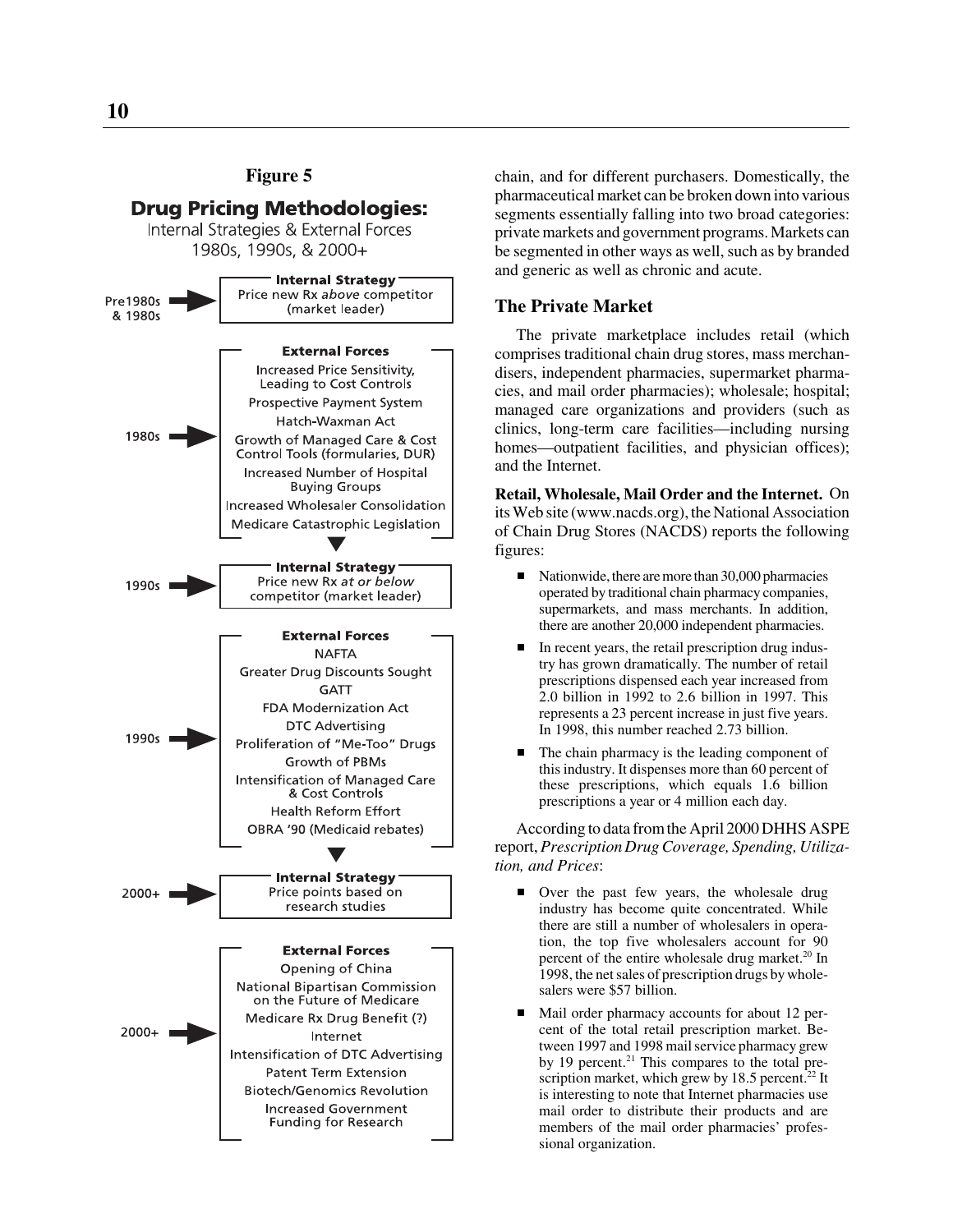#### **Figure 5**



chain, and for different purchasers. Domestically, the pharmaceutical market can be broken down into various segments essentially falling into two broad categories: private markets and government programs. Markets can be segmented in other ways as well, such as by branded and generic as well as chronic and acute.

#### **The Private Market**

The private marketplace includes retail (which comprises traditional chain drug stores, mass merchandisers, independent pharmacies, supermarket pharmacies, and mail order pharmacies); wholesale; hospital; managed care organizations and providers (such as clinics, long-term care facilities —including nursing homes —outpatient facilities, and physician offices); and the Internet.

**Retail, Wholesale, Mail Order and the Internet.** On its Web site (www.nacds.org), the National Association of Chain Drug Stores (NACDS) reports the following figures:

- $\overline{a}$  Nationwide, there are more than 30,000 pharmacies operated by traditional chain pharmacy companies, supermarkets, and mass merchants. In addition, there are another 20,000 independent pharmacies.
- $\overline{a}$  In recent years, the retail prescription drug industry has grown dramatically. The number of retail prescriptions dispensed each year increased from 2.0 billion in 1992 to 2.6 billion in 1997. This represents a 23 percent increase in just five years. In 1998, this number reached 2.73 billion.
- $\overline{a}$  The chain pharmacy is the leading component of this industry. It dispenses more than 60 percent of these prescriptions, which equals 1.6 billion prescriptions a year or 4 million each day.

According to data from the April 2000 DHHS ASPE report, *Prescription Drug Coverage, Spending, Utilization, and Prices*:

- $\overline{a}$  Over the past few years, the wholesale drug industry has become quite concentrated. While there are still a number of wholesalers in operation, the top five wholesalers account for 90 percent of the entire wholesale drug market.<sup>20</sup> In 1998, the net sales of prescription drugs by wholesalers were \$57 billion.
- $\blacksquare$  Mail order pharmacy accounts for about 12 percent of the total retail prescription market. Between 1997 and 1998 mail service pharmacy grew by 19 percent.<sup>21</sup> This compares to the total prescription market, which grew by 18.5 percent.<sup>22</sup> It is interesting to note that Internet pharmacies use mail order to distribute their products and are members of the mail order pharmacies ' professional organization.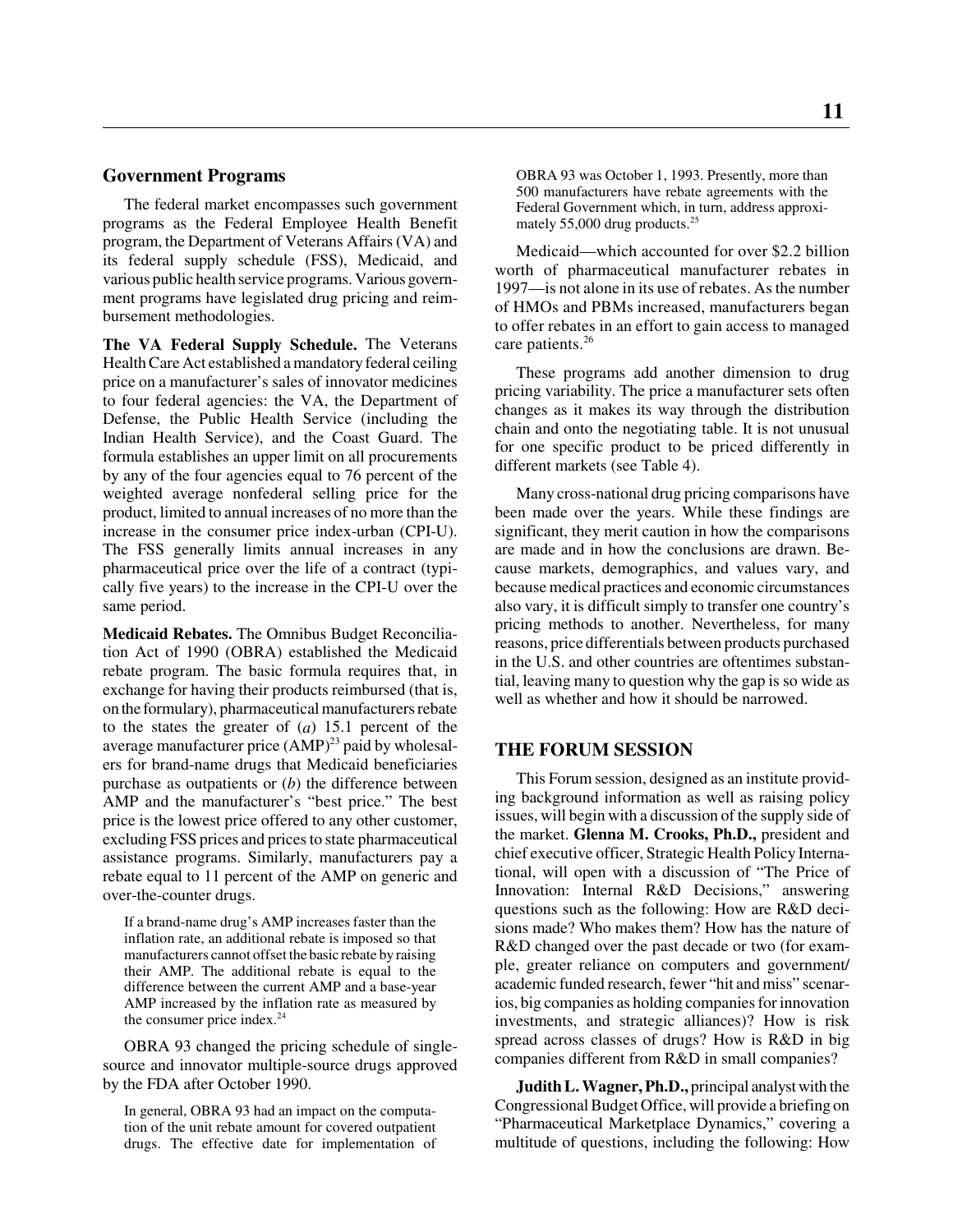#### **Government Programs**

The federal market encompasses such government programs as the Federal Employee Health Benefit program, the Department of Veterans Affairs (VA) and its federal supply schedule (FSS), Medicaid, and various public health service programs. Various government programs have legislated drug pricing and reimbursement methodologies.

**The VA Federal Supply Schedule.** The Veterans Health Care Act established a mandatory federal ceiling price on a manufacturer's sales of innovator medicines to four federal agencies: the VA, the Department of Defense, the Public Health Service (including the Indian Health Service), and the Coast Guard. The formula establishes an upper limit on all procurements by any of the four agencies equal to 76 percent of the weighted average nonfederal selling price for the product, limited to annual increases of no more than the increase in the consumer price index-urban (CPI-U). The FSS generally limits annual increases in any pharmaceutical price over the life of a contract (typically five years) to the increase in the CPI-U over the same period.

**Medicaid Rebates.** The Omnibus Budget Reconciliation Act of 1990 (OBRA) established the Medicaid rebate program. The basic formula requires that, in exchange for having their products reimbursed (that is, on the formulary), pharmaceutical manufacturers rebate to the states the greater of (*a*) 15.1 percent of the average manufacturer price  $(AMP)^{23}$  paid by wholesalers for brand-name drugs that Medicaid beneficiaries purchase as outpatients or (*b*) the difference between AMP and the manufacturer's "best price." The best price is the lowest price offered to any other customer, excluding FSS prices and prices to state pharmaceutical assistance programs. Similarly, manufacturers pay a rebate equal to 11 percent of the AMP on generic and over-the-counter drugs.

If a brand-name drug's AMP increases faster than the inflation rate, an additional rebate is imposed so that manufacturers cannot offset the basic rebate by raising their AMP. The additional rebate is equal to the difference between the current AMP and a base-year AMP increased by the inflation rate as measured by the consumer price index.<sup>24</sup>

OBRA 93 changed the pricing schedule of singlesource and innovator multiple-source drugs approved by the FDA after October 1990.

In general, OBRA 93 had an impact on the computation of the unit rebate amount for covered outpatient drugs. The effective date for implementation of OBRA 93 was October 1, 1993. Presently, more than 500 manufacturers have rebate agreements with the Federal Government which, in turn, address approximately 55,000 drug products.<sup>25</sup>

Medicaid—which accounted for over \$2.2 billion worth of pharmaceutical manufacturer rebates in 1997—is not alone in its use of rebates. As the number of HMOs and PBMs increased, manufacturers began to offer rebates in an effort to gain access to managed care patients.26

These programs add another dimension to drug pricing variability. The price a manufacturer sets often changes as it makes its way through the distribution chain and onto the negotiating table. It is not unusual for one specific product to be priced differently in different markets (see Table 4).

Many cross-national drug pricing comparisons have been made over the years. While these findings are significant, they merit caution in how the comparisons are made and in how the conclusions are drawn. Because markets, demographics, and values vary, and because medical practices and economic circumstances also vary, it is difficult simply to transfer one country's pricing methods to another. Nevertheless, for many reasons, price differentials between products purchased in the U.S. and other countries are oftentimes substantial, leaving many to question why the gap is so wide as well as whether and how it should be narrowed.

#### **THE FORUM SESSION**

This Forum session, designed as an institute providing background information as well as raising policy issues, will begin with a discussion of the supply side of the market. **Glenna M. Crooks, Ph.D.,** president and chief executive officer, Strategic Health Policy International, will open with a discussion of "The Price of Innovation: Internal R&D Decisions," answering questions such as the following: How are R&D decisions made? Who makes them? How has the nature of R&D changed over the past decade or two (for example, greater reliance on computers and government/ academic funded research, fewer "hit and miss" scenarios, big companies as holding companies for innovation investments, and strategic alliances)? How is risk spread across classes of drugs? How is R&D in big companies different from R&D in small companies?

**Judith L. Wagner, Ph.D.,** principal analyst with the Congressional Budget Office, will provide a briefing on "Pharmaceutical Marketplace Dynamics," covering a multitude of questions, including the following: How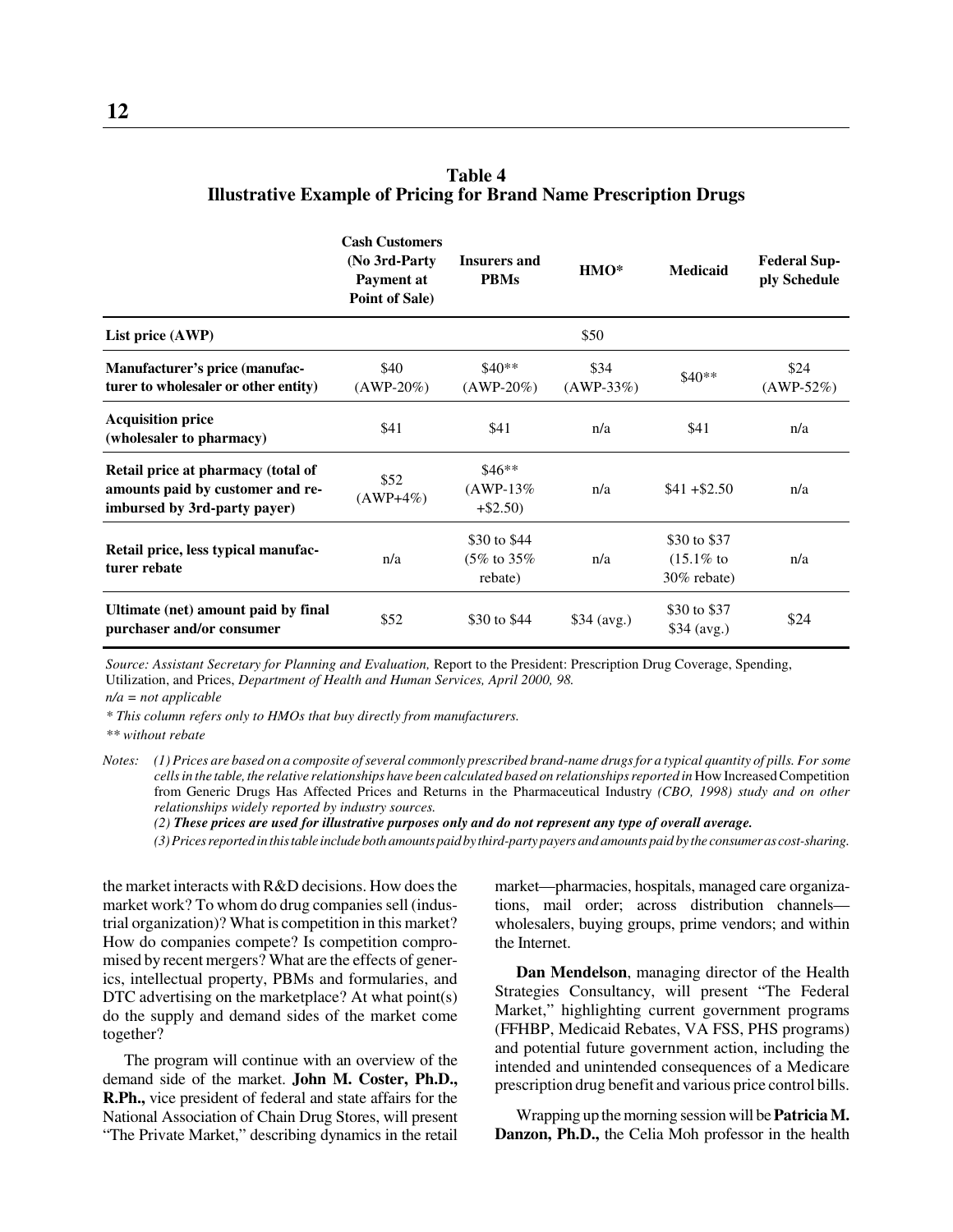| Table 4                                                                  |  |
|--------------------------------------------------------------------------|--|
| <b>Illustrative Example of Pricing for Brand Name Prescription Drugs</b> |  |

|                                                                                                        | <b>Cash Customers</b><br>(No 3rd-Party<br>Payment at<br><b>Point of Sale</b> ) | <b>Insurers and</b><br><b>PBMs</b>     | $HMO*$               | <b>Medicaid</b>                                      | <b>Federal Sup-</b><br>ply Schedule |
|--------------------------------------------------------------------------------------------------------|--------------------------------------------------------------------------------|----------------------------------------|----------------------|------------------------------------------------------|-------------------------------------|
| List price (AWP)                                                                                       |                                                                                |                                        | \$50                 |                                                      |                                     |
| Manufacturer's price (manufac-<br>turer to wholesaler or other entity)                                 | \$40<br>$(AWP-20\%)$                                                           | $$40**$<br>$(AWP-20\%)$                | \$34<br>$(AWP-33\%)$ | $$40**$                                              | \$24<br>$(AWP-52%)$                 |
| <b>Acquisition price</b><br>(wholesaler to pharmacy)                                                   | \$41                                                                           | \$41                                   | n/a                  | \$41                                                 | n/a                                 |
| Retail price at pharmacy (total of<br>amounts paid by customer and re-<br>imbursed by 3rd-party payer) | \$52<br>$(AWP+4\%)$                                                            | $$46**$<br>$(AWP-13%$<br>$+\$2.50$     | n/a                  | $$41 + $2.50$                                        | n/a                                 |
| Retail price, less typical manufac-<br>turer rebate                                                    | n/a                                                                            | \$30 to \$44<br>(5% to 35%)<br>rebate) | n/a                  | \$30 to \$37<br>$(15.1\% \text{ to }$<br>30% rebate) | n/a                                 |
| Ultimate (net) amount paid by final<br>purchaser and/or consumer                                       | \$52                                                                           | \$30 to \$44                           | \$34 (avg.)          | \$30 to \$37<br>\$34 (avg.)                          | \$24                                |

*Source: Assistant Secretary for Planning and Evaluation,* Report to the President: Prescription Drug Coverage, Spending, Utilization, and Prices, *Department of Health and Human Services, April 2000, 98.*

*n/a = not applicable*

*\* This column refers only to HMOs that buy directly from manufacturers.*

*\*\* without rebate*

*Notes: (1) Prices are based on a composite of several commonly prescribed brand-name drugs for a typical quantity of pills. For some cells in the table, the relative relationships have been calculated based on relationships reported in* How Increased Competition from Generic Drugs Has Affected Prices and Returns in the Pharmaceutical Industry *(CBO, 1998) study and on other relationships widely reported by industry sources.*

*(2) These prices are used for illustrative purposes only and do not represent any type of overall average.*

*(3) Prices reported in this table include both amounts paid by third-party payers and amounts paid by the consumer as cost-sharing.*

the market interacts with R&D decisions. How does the market work? To whom do drug companies sell (industrial organization)? What is competition in this market? How do companies compete? Is competition compromised by recent mergers? What are the effects of generics, intellectual property, PBMs and formularies, and DTC advertising on the marketplace? At what point(s) do the supply and demand sides of the market come together?

The program will continue with an overview of the demand side of the market. **John M. Coster, Ph.D., R.Ph.,** vice president of federal and state affairs for the National Association of Chain Drug Stores, will present "The Private Market," describing dynamics in the retail

market—pharmacies, hospitals, managed care organizations, mail order; across distribution channels wholesalers, buying groups, prime vendors; and within the Internet.

**Dan Mendelson**, managing director of the Health Strategies Consultancy, will present "The Federal Market," highlighting current government programs (FFHBP, Medicaid Rebates, VA FSS, PHS programs) and potential future government action, including the intended and unintended consequences of a Medicare prescription drug benefit and various price control bills.

Wrapping up the morning session will be **Patricia M. Danzon, Ph.D.,** the Celia Moh professor in the health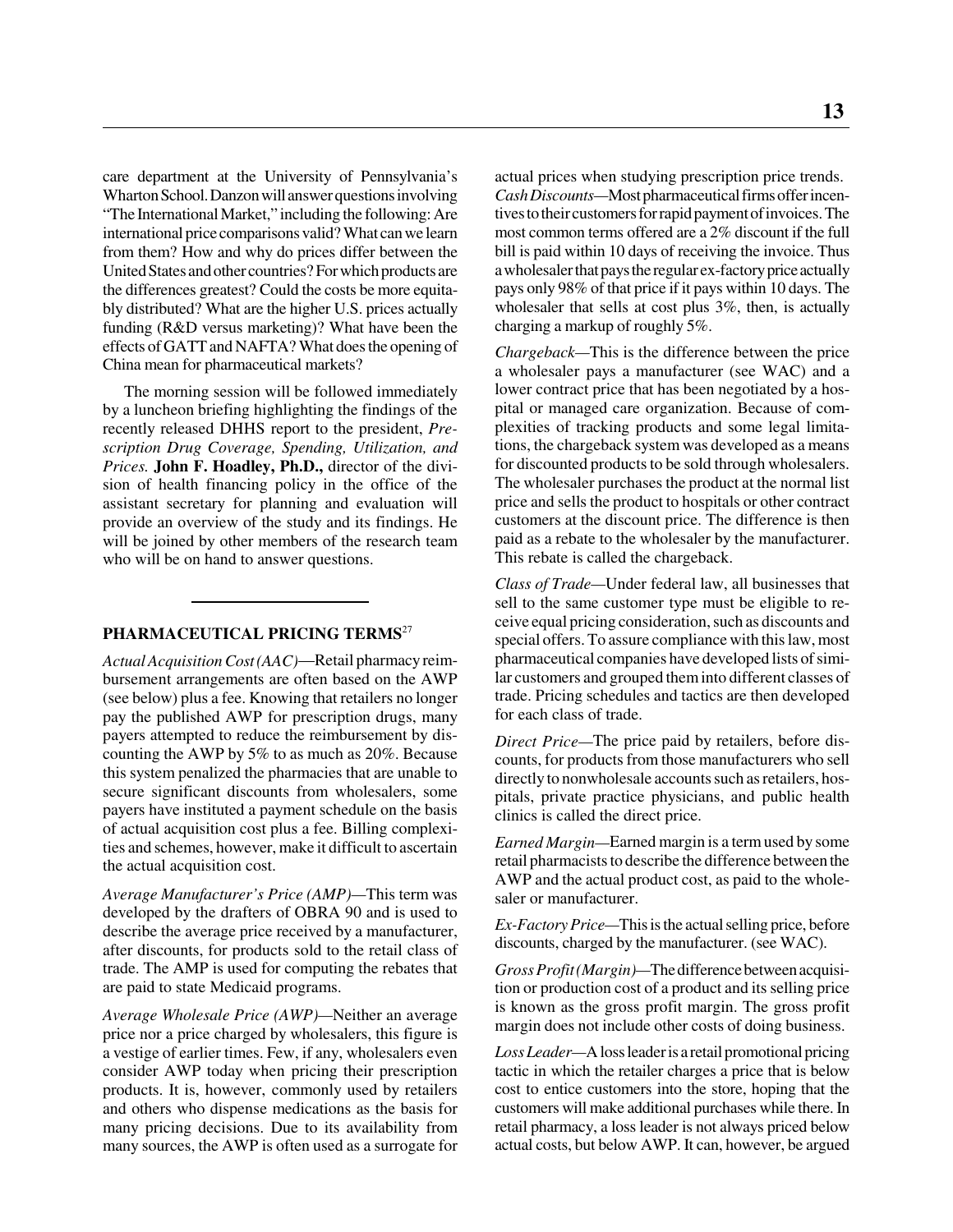care department at the University of Pennsylvania's Wharton School. Danzon will answer questions involving "The International Market," including the following: Are international price comparisons valid? What can we learn from them? How and why do prices differ between the United States and other countries? For which products are the differences greatest? Could the costs be more equitably distributed? What are the higher U.S. prices actually funding (R&D versus marketing)? What have been the effects of GATT and NAFTA? What does the opening of China mean for pharmaceutical markets?

The morning session will be followed immediately by a luncheon briefing highlighting the findings of the recently released DHHS report to the president, *Prescription Drug Coverage, Spending, Utilization, and Prices.* **John F. Hoadley, Ph.D.,** director of the division of health financing policy in the office of the assistant secretary for planning and evaluation will provide an overview of the study and its findings. He will be joined by other members of the research team who will be on hand to answer questions.

#### **PHARMACEUTICAL PRICING TERMS**<sup>27</sup>

*Actual Acquisition Cost (AAC)*—Retail pharmacy reimbursement arrangements are often based on the AWP (see below) plus a fee. Knowing that retailers no longer pay the published AWP for prescription drugs, many payers attempted to reduce the reimbursement by discounting the AWP by 5% to as much as 20%. Because this system penalized the pharmacies that are unable to secure significant discounts from wholesalers, some payers have instituted a payment schedule on the basis of actual acquisition cost plus a fee. Billing complexities and schemes, however, make it difficult to ascertain the actual acquisition cost.

*Average Manufacturer's Price (AMP)—*This term was developed by the drafters of OBRA 90 and is used to describe the average price received by a manufacturer, after discounts, for products sold to the retail class of trade. The AMP is used for computing the rebates that are paid to state Medicaid programs.

*Average Wholesale Price (AWP)—*Neither an average price nor a price charged by wholesalers, this figure is a vestige of earlier times. Few, if any, wholesalers even consider AWP today when pricing their prescription products. It is, however, commonly used by retailers and others who dispense medications as the basis for many pricing decisions. Due to its availability from many sources, the AWP is often used as a surrogate for

actual prices when studying prescription price trends. *Cash Discounts—*Most pharmaceutical firms offer incentives to their customers for rapid payment of invoices. The most common terms offered are a 2% discount if the full bill is paid within 10 days of receiving the invoice. Thus a wholesaler that pays the regular ex-factory price actually pays only 98% of that price if it pays within 10 days. The wholesaler that sells at cost plus 3%, then, is actually charging a markup of roughly 5%.

*Chargeback—*This is the difference between the price a wholesaler pays a manufacturer (see WAC) and a lower contract price that has been negotiated by a hospital or managed care organization. Because of complexities of tracking products and some legal limitations, the chargeback system was developed as a means for discounted products to be sold through wholesalers. The wholesaler purchases the product at the normal list price and sells the product to hospitals or other contract customers at the discount price. The difference is then paid as a rebate to the wholesaler by the manufacturer. This rebate is called the chargeback.

*Class of Trade—*Under federal law, all businesses that sell to the same customer type must be eligible to receive equal pricing consideration, such as discounts and special offers. To assure compliance with this law, most pharmaceutical companies have developed lists of similar customers and grouped them into different classes of trade. Pricing schedules and tactics are then developed for each class of trade.

*Direct Price—*The price paid by retailers, before discounts, for products from those manufacturers who sell directly to nonwholesale accounts such as retailers, hospitals, private practice physicians, and public health clinics is called the direct price.

*Earned Margin—*Earned margin is a term used by some retail pharmacists to describe the difference between the AWP and the actual product cost, as paid to the wholesaler or manufacturer.

*Ex-Factory Price—*This is the actual selling price, before discounts, charged by the manufacturer. (see WAC).

*Gross Profit (Margin)—*The difference between acquisition or production cost of a product and its selling price is known as the gross profit margin. The gross profit margin does not include other costs of doing business.

*Loss Leader—*A loss leader is a retail promotional pricing tactic in which the retailer charges a price that is below cost to entice customers into the store, hoping that the customers will make additional purchases while there. In retail pharmacy, a loss leader is not always priced below actual costs, but below AWP. It can, however, be argued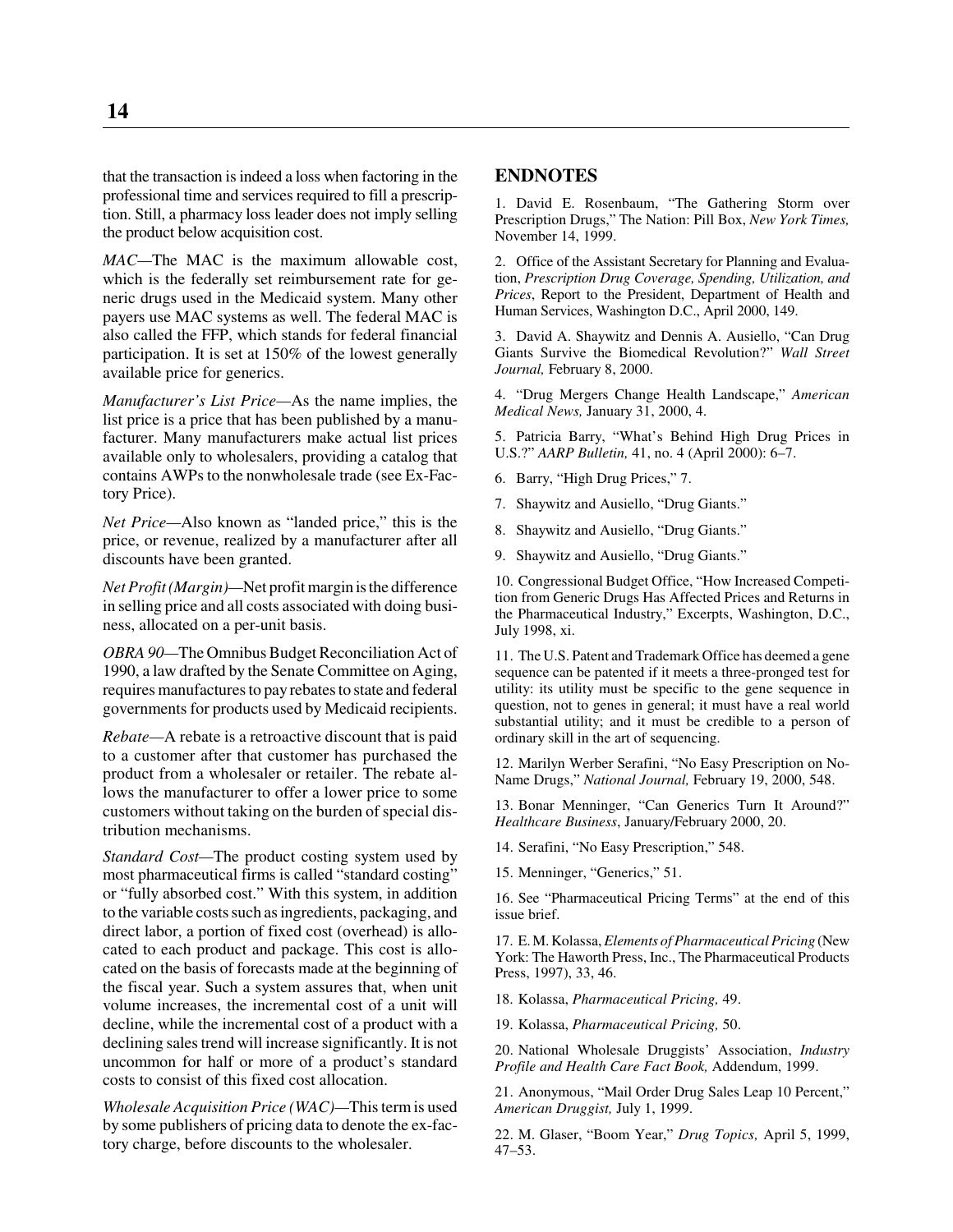that the transaction is indeed a loss when factoring in the professional time and services required to fill a prescription. Still, a pharmacy loss leader does not imply selling the product below acquisition cost.

*MAC—*The MAC is the maximum allowable cost, which is the federally set reimbursement rate for generic drugs used in the Medicaid system. Many other payers use MAC systems as well. The federal MAC is also called the FFP, which stands for federal financial participation. It is set at 150% of the lowest generally available price for generics.

*Manufacturer's List Price—*As the name implies, the list price is a price that has been published by a manufacturer. Many manufacturers make actual list prices available only to wholesalers, providing a catalog that contains AWPs to the nonwholesale trade (see Ex-Factory Price).

*Net Price—*Also known as "landed price," this is the price, or revenue, realized by a manufacturer after all discounts have been granted.

*Net Profit (Margin)—*Net profit margin is the difference in selling price and all costs associated with doing business, allocated on a per-unit basis.

*OBRA 90—*The Omnibus Budget Reconciliation Act of 1990, a law drafted by the Senate Committee on Aging, requires manufactures to pay rebates to state and federal governments for products used by Medicaid recipients.

*Rebate—*A rebate is a retroactive discount that is paid to a customer after that customer has purchased the product from a wholesaler or retailer. The rebate allows the manufacturer to offer a lower price to some customers without taking on the burden of special distribution mechanisms.

*Standard Cost—*The product costing system used by most pharmaceutical firms is called "standard costing" or "fully absorbed cost." With this system, in addition to the variable costs such as ingredients, packaging, and direct labor, a portion of fixed cost (overhead) is allocated to each product and package. This cost is allocated on the basis of forecasts made at the beginning of the fiscal year. Such a system assures that, when unit volume increases, the incremental cost of a unit will decline, while the incremental cost of a product with a declining sales trend will increase significantly. It is not uncommon for half or more of a product's standard costs to consist of this fixed cost allocation.

*Wholesale Acquisition Price (WAC)—*This term is used by some publishers of pricing data to denote the ex-factory charge, before discounts to the wholesaler.

#### **ENDNOTES**

1. David E. Rosenbaum, "The Gathering Storm over Prescription Drugs," The Nation: Pill Box, *New York Times,* November 14, 1999.

2. Office of the Assistant Secretary for Planning and Evaluation, *Prescription Drug Coverage, Spending, Utilization, and Prices*, Report to the President, Department of Health and Human Services, Washington D.C., April 2000, 149.

3. David A. Shaywitz and Dennis A. Ausiello, "Can Drug Giants Survive the Biomedical Revolution?" *Wall Street Journal,* February 8, 2000.

4. "Drug Mergers Change Health Landscape," *American Medical News,* January 31, 2000, 4.

5. Patricia Barry, "What's Behind High Drug Prices in U.S.?" *AARP Bulletin,* 41, no. 4 (April 2000): 6–7.

6. Barry, "High Drug Prices," 7.

7. Shaywitz and Ausiello, "Drug Giants."

8. Shaywitz and Ausiello, "Drug Giants."

9. Shaywitz and Ausiello, "Drug Giants."

10. Congressional Budget Office, "How Increased Competition from Generic Drugs Has Affected Prices and Returns in the Pharmaceutical Industry," Excerpts, Washington, D.C., July 1998, xi.

11. The U.S. Patent and Trademark Office has deemed a gene sequence can be patented if it meets a three-pronged test for utility: its utility must be specific to the gene sequence in question, not to genes in general; it must have a real world substantial utility; and it must be credible to a person of ordinary skill in the art of sequencing.

12. Marilyn Werber Serafini, "No Easy Prescription on No-Name Drugs," *National Journal,* February 19, 2000, 548.

13. Bonar Menninger, "Can Generics Turn It Around?" *Healthcare Business*, January/February 2000, 20.

14. Serafini, "No Easy Prescription," 548.

15. Menninger, "Generics," 51.

16. See "Pharmaceutical Pricing Terms" at the end of this issue brief.

17. E. M. Kolassa, *Elements of Pharmaceutical Pricing* (New York: The Haworth Press, Inc., The Pharmaceutical Products Press, 1997), 33, 46.

18. Kolassa, *Pharmaceutical Pricing,* 49.

19. Kolassa, *Pharmaceutical Pricing,* 50.

20. National Wholesale Druggists' Association, *Industry Profile and Health Care Fact Book,* Addendum, 1999.

21. Anonymous, "Mail Order Drug Sales Leap 10 Percent," *American Druggist,* July 1, 1999.

22. M. Glaser, "Boom Year," *Drug Topics,* April 5, 1999,  $47 - 53$ .